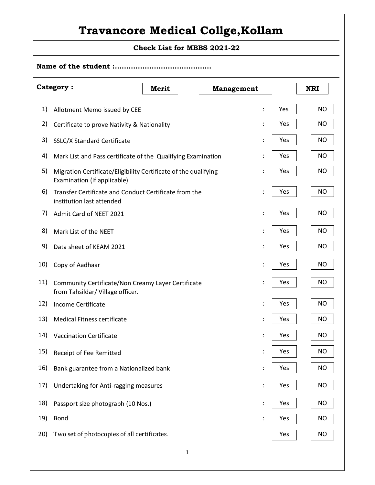## **Travancore Medical Collge,Kollam**

**Check List for MBBS 2021-22**

| CRECK LIST IOT MBBS 2021-22 |                                                                                                |       |                   |                      |     |            |  |  |
|-----------------------------|------------------------------------------------------------------------------------------------|-------|-------------------|----------------------|-----|------------|--|--|
| Name of the student :       |                                                                                                |       |                   |                      |     |            |  |  |
| <b>Category:</b>            |                                                                                                | Merit | <b>Management</b> |                      |     | <b>NRI</b> |  |  |
| 1)                          | Allotment Memo issued by CEE                                                                   |       |                   | $\ddot{\cdot}$       | Yes | <b>NO</b>  |  |  |
| 2)                          | Certificate to prove Nativity & Nationality                                                    |       |                   | $\ddot{\phantom{a}}$ | Yes | <b>NO</b>  |  |  |
| 3)                          | SSLC/X Standard Certificate                                                                    |       |                   | $\ddot{\cdot}$       | Yes | <b>NO</b>  |  |  |
| 4)                          | Mark List and Pass certificate of the Qualifying Examination                                   |       |                   | $\ddot{\cdot}$       | Yes | <b>NO</b>  |  |  |
| 5)                          | Migration Certificate/Eligibility Certificate of the qualifying<br>Examination (If applicable) |       |                   | $\ddot{\phantom{a}}$ | Yes | <b>NO</b>  |  |  |
| 6)                          | Transfer Certificate and Conduct Certificate from the<br>institution last attended             |       |                   | $\vdots$             | Yes | <b>NO</b>  |  |  |
| 7)                          | Admit Card of NEET 2021                                                                        |       |                   | $\ddot{\cdot}$       | Yes | <b>NO</b>  |  |  |
| 8)                          | Mark List of the NEET                                                                          |       |                   |                      | Yes | <b>NO</b>  |  |  |
| 9)                          | Data sheet of KEAM 2021                                                                        |       |                   |                      | Yes | <b>NO</b>  |  |  |
| 10)                         | Copy of Aadhaar                                                                                |       |                   |                      | Yes | <b>NO</b>  |  |  |
| 11)                         | Community Certificate/Non Creamy Layer Certificate<br>from Tahsildar/ Village officer.         |       |                   |                      | Yes | <b>NO</b>  |  |  |
| 12)                         | <b>Income Certificate</b>                                                                      |       |                   |                      | Yes | <b>NO</b>  |  |  |
| 13)                         | <b>Medical Fitness certificate</b>                                                             |       |                   |                      | Yes | <b>NO</b>  |  |  |
| 14)                         | <b>Vaccination Certificate</b>                                                                 |       |                   | $\ddot{\cdot}$       | Yes | <b>NO</b>  |  |  |
| 15)                         | Receipt of Fee Remitted                                                                        |       |                   | $\ddot{\cdot}$       | Yes | <b>NO</b>  |  |  |
| 16)                         | Bank guarantee from a Nationalized bank                                                        |       |                   | $\ddot{\cdot}$       | Yes | <b>NO</b>  |  |  |
| 17)                         | Undertaking for Anti-ragging measures                                                          |       |                   | $\ddot{\cdot}$       | Yes | <b>NO</b>  |  |  |
| 18)                         | Passport size photograph (10 Nos.)                                                             |       |                   | $\ddot{\cdot}$       | Yes | <b>NO</b>  |  |  |
| 19)                         | <b>Bond</b>                                                                                    |       |                   | $\ddot{\cdot}$       | Yes | NO         |  |  |
| 20)                         | Two set of photocopies of all certificates.                                                    |       |                   |                      | Yes | <b>NO</b>  |  |  |